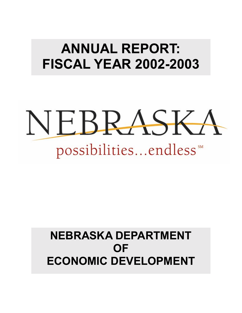# **ANNUAL REPORT: FISCAL YEAR 2002-2003**



# **NEBRASKA DEPARTMENT OF ECONOMIC DEVELOPMENT**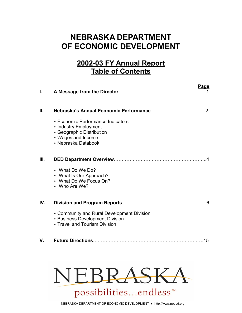# **NEBRASKA DEPARTMENT OF ECONOMIC DEVELOPMENT**

# **2002-03 FY Annual Report Table of Contents**

| I.   | Page                                                                                                                                 |
|------|--------------------------------------------------------------------------------------------------------------------------------------|
| П.   |                                                                                                                                      |
|      | • Economic Performance Indicators<br>• Industry Employment<br>• Geographic Distribution<br>• Wages and Income<br>• Nebraska Databook |
| III. |                                                                                                                                      |
|      | • What Do We Do?<br>• What Is Our Approach?<br>• What Do We Focus On?<br>• Who Are We?                                               |
| IV.  | -6                                                                                                                                   |
|      | • Community and Rural Development Division<br>• Business Development Division<br>• Travel and Tourism Division                       |
| V.   | 15                                                                                                                                   |

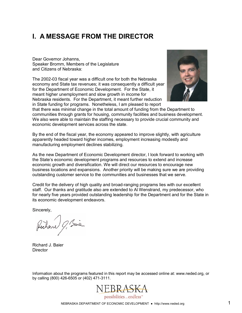## **I. A MESSAGE FROM THE DIRECTOR**

Dear Governor Johanns, Speaker Bromm, Members of the Legislature and Citizens of Nebraska:

The 2002-03 fiscal year was a difficult one for both the Nebraska economy and State tax revenues; it was consequently a difficult year for the Department of Economic Development. For the State, it meant higher unemployment and slow growth in income for Nebraska residents. For the Department, it meant further reduction in State funding for programs. Nonetheless, I am pleased to report



that there was minimal change in the total amount of funding from the Department to communities through grants for housing, community facilities and business development. We also were able to maintain the staffing necessary to provide crucial community and economic development services across the state.

By the end of the fiscal year, the economy appeared to improve slightly, with agriculture apparently headed toward higher incomes, employment increasing modestly and manufacturing employment declines stabilizing.

As the new Department of Economic Development director, I look forward to working with the Stateís economic development programs and resources to extend and increase economic growth and diversification. We will direct our resources to encourage new business locations and expansions. Another priority will be making sure we are providing outstanding customer service to the communities and businesses that we serve.

Credit for the delivery of high quality and broad-ranging programs lies with our excellent staff. Our thanks and gratitude also are extended to Al Wenstrand, my predecessor, who for nearly five years provided outstanding leadership for the Department and for the State in its economic development endeavors.

Sincerely,

Rechane 9, Sais

Richard J. Baier **Director** 

Information about the programs featured in this report may be accessed online at: www.neded.org, or by calling (800) 426-6505 or (402) 471-3111.

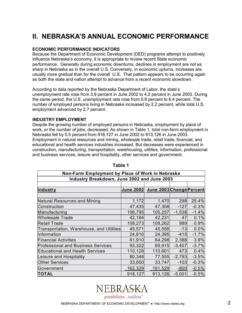## **II. NEBRASKAíS ANNUAL ECONOMIC PERFORMANCE**

#### **ECONOMIC PERFORMANCE INDICATORS**

Because the Department of Economic Development (DED) programs attempt to positively influence Nebraskaís economy, it is appropriate to review recent State economic performance. Generally during economic downturns, declines in employment are not as sharp in Nebraska as in the overall U.S. Conversely, in economic upturns, increases are usually more gradual than for the overall U.S. That pattern appears to be occurring again as both the state and nation attempt to advance from a recent economic slowdown.

According to data reported by the Nebraska Department of Labor, the stateís unemployment rate rose from 3.9 percent in June 2002 to 4.2 percent in June 2003. During the same period, the U.S. unemployment rate rose from 5.9 percent to 6.4 percent. The number of employed persons living in Nebraska increased by 2.2 percent, while total U.S. employment advanced by 2.7 percent.

#### **INDUSTRY EMPLOYMENT**

Despite the growing number of employed persons in Nebraska, employment by place of work, or the number of jobs, decreased. As shown in Table 1, total non-farm employment in Nebraska fell by 0.5 percent from 918,127 in June 2002 to 913,126 in June 2003. Employment in natural resources and mining, wholesale trade, retail trade, financial, and educational and health services industries increased. But decreases were experienced in construction, manufacturing, transportation, warehousing, utilities, information, professional and business services, leisure and hospitality, other services and government.

| Non-Farm Employment by Place of Work in Nebraska |         |                                    |          |         |  |
|--------------------------------------------------|---------|------------------------------------|----------|---------|--|
| Industry Breakdown, June 2002 and June 2003      |         |                                    |          |         |  |
|                                                  |         |                                    |          |         |  |
| Industry                                         |         | June 2002 June 2003 Change Percent |          |         |  |
|                                                  |         |                                    |          |         |  |
| Natural Resources and Mining                     | 1,172   | 1,470                              | 298      | 25.4%   |  |
| Construction                                     | 47,435  | 47,308                             | $-127$   | $-0.3%$ |  |
| Manufacturing                                    | 106,795 | 105,257                            | $-1,538$ | $-1.4%$ |  |
| Wholesale Trade                                  | 42,184  | 42,231                             | 47       | 0.1%    |  |
| <b>Retail Trade</b>                              | 108,273 | 109,262                            | 989      | 0.9%    |  |
| Transportation, Warehouse, and Utilities         | 45,571  | 45,558                             | $-13$    | 0.0%    |  |
| Information                                      | 24,810  | 24,395                             | $-415$   | $-1.7%$ |  |
| Financial Activities                             | 61,910  | 64,298                             | 2,388    | 3.9%    |  |
| <b>Professional and Business Services</b>        | 93,322  | 89,915                             | $-3,407$ | $-3.7%$ |  |
| <b>Educational and Health Services</b>           | 110,128 | 110,601                            | 473      | 0.4%    |  |
| Leisure and Hospitality                          | 80,348  | 77,555                             | $-2,793$ | $-3.5%$ |  |
| <b>Other Services</b>                            | 33,850  | 33,747                             | $-103$   | $-0.3%$ |  |
| Government                                       | 162,329 | 161,529                            | $-800$   | $-0.5%$ |  |
| <b>TOTAL</b>                                     | 918,127 | 913,126                            | $-5,001$ | $-0.5%$ |  |

#### **Table 1**

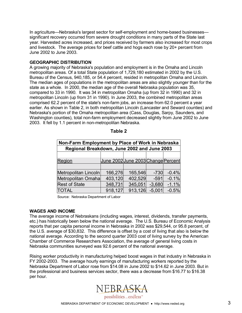In agriculture—Nebraska's largest sector for self-employment and home-based businesses significant recovery occurred from severe drought conditions in many parts of the State last year. Harvested acres increased, and prices received by farmers also increased for most crops and livestock. The average prices for beef cattle and hogs each rose by 20+ percent from June 2002 to June 2003.

#### **GEOGRAPHIC DISTRIBUTION**

A growing majority of Nebraska's population and employment is in the Omaha and Lincoln metropolitan areas. Of a total State population of 1,729,180 estimated in 2002 by the U.S. Bureau of the Census, 940,185, or 54.4 percent, resided in metropolitan Omaha and Lincoln. The median ages of populations in the metropolitan areas are also slightly younger than for the state as a whole. In 2000, the median age of the overall Nebraska population was 35, compared to 33 in 1990. It was 34 in metropolitan Omaha (up from 32 in 1990) and 32 in metropolitan Lincoln (up from 31 in 1990). In June 2003, the combined metropolitan areas comprised 62.2 percent of the state's non-farm jobs, an increase from 62.0 percent a year earlier. As shown in Table 2, in both metropolitan Lincoln (Lancaster and Seward counties) and Nebraska's portion of the Omaha metropolitan area (Cass, Douglas, Sarpy, Saunders, and Washington counties), total non-farm employment decreased slightly from June 2002 to June 2003. It fell by 1.1 percent in non-metropolitan Nebraska.

| Non-Farm Employment by Place of Work in Nebraska |                                    |         |          |         |  |  |
|--------------------------------------------------|------------------------------------|---------|----------|---------|--|--|
| Regional Breakdown, June 2002 and June 2003      |                                    |         |          |         |  |  |
|                                                  |                                    |         |          |         |  |  |
| Region                                           | June 2002 June 2003 Change Percent |         |          |         |  |  |
|                                                  |                                    |         |          |         |  |  |
| Metropolitan Lincoln                             | 166,276                            | 165,546 | $-730$   | $-0.4%$ |  |  |
| Metropolitan Omaha                               | 403,120                            | 402,529 | $-591$   | $-0.1%$ |  |  |
| <b>Rest of State</b>                             | 348,731                            | 345,051 | $-3,680$ | $-1.1%$ |  |  |
| TOTAL                                            | 918,127                            | 913,126 | $-5,001$ | $-0.5%$ |  |  |

|  |  | able |  |  |
|--|--|------|--|--|
|--|--|------|--|--|

Source: Nebraska Department of Labor

#### **WAGES AND INCOME**

The average income of Nebraskans (including wages, interest, dividends, transfer payments, etc.) has historically been below the national average. The U.S. Bureau of Economic Analysis reports that per capita personal income in Nebraska in 2002 was \$29,544, or 95.8 percent, of the U.S. average of \$30,832. This difference is offset by a cost of living that also is below the national average. According to the second quarter 2003 cost of living survey by the American Chamber of Commerce Researchers Association, the average of general living costs in Nebraska communities surveyed was 92.6 percent of the national average.

Rising worker productivity in manufacturing helped boost wages in that industry in Nebraska in FY 2002-2003. The average hourly earnings of manufacturing workers reported by the Nebraska Department of Labor rose from \$14.08 in June 2002 to \$14.62 in June 2003. But in the professional and business services sector, there was a decrease from \$16.77 to \$16.38 per hour.

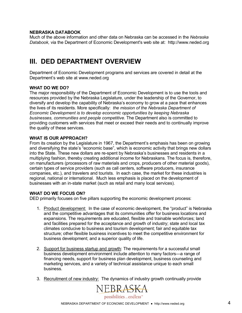#### **NEBRASKA DATABOOK**

Much of the above information and other data on Nebraska can be accessed in the *Nebraska Databook,* via the Department of Economic Development's web site at: http://www.neded.org

### **III. DED DEPARTMENT OVERVIEW**

Department of Economic Development programs and services are covered in detail at the Department's web site at www.neded.org

#### **WHAT DO WE DO?**

The major responsibility of the Department of Economic Development is to use the tools and resources provided by the Nebraska Legislature, under the leadership of the Governor, to diversify and develop the capability of Nebraskaís economy to grow at a pace that enhances the lives of its residents. More specifically: *the mission of the Nebraska Department of Economic Development is to develop economic opportunities by keeping Nebraska businesses, communities and people competitive.* The Department also is committed to providing customers with services that meet or exceed their needs and to continually improve the quality of these services.

#### **WHAT IS OUR APPROACH?**

From its creation by the Legislature in 1967, the Department's emphasis has been on growing and diversifying the state's "economic base", which is economic activity that brings new dollars into the State. These new dollars are re-spent by Nebraskaís businesses and residents in a multiplying fashion, thereby creating additional income for Nebraskans. The focus is, therefore, on manufacturers (processors of raw materials and crops, producers of other material goods), certain types of service providers (such as call centers, software producers, insurance companies, etc.), and travelers and tourists. In each case, the market for these industries is regional, national or international. Much less emphasis is placed on the development of businesses with an in-state market (such as retail and many local services).

#### **WHAT DO WE FOCUS ON?**

DED primarily focuses on five pillars supporting the economic development process:

- 1. Product development: In the case of economic development, the "product" is Nebraska and the competitive advantages that its communities offer for business locations and expansions. The requirements are educated, flexible and trainable workforces; land and facilities prepared for the acceptance and growth of industry; state and local tax climates conducive to business and tourism development; fair and equitable tax structure; other flexible business incentives to meet the competitive environment for business development; and a superior quality of life.
- 2. Support for business startup and growth: The requirements for a successful small business development environment include attention to many factors—a range of financing needs, support for business plan development, business counseling and marketing services, and a variety of technical assistance unique to each small business.
- 3. Recruitment of new industry: The dynamics of industry growth continually provide

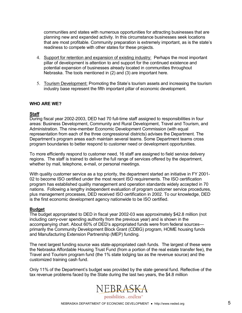communities and states with numerous opportunities for attracting businesses that are planning new and expanded activity. In this circumstance businesses seek locations that are most profitable. Community preparation is extremely important, as is the state's readiness to compete with other states for these projects.

- 4. Support for retention and expansion of existing industry: Perhaps the most important pillar of development is attention to and support for the continued existence and potential expansion of businesses already located in communities throughout Nebraska. The tools mentioned in (2) and (3) are important here.
- 5. Tourism Development: Promoting the Stateís tourism assets and increasing the tourism industry base represent the fifth important pillar of economic development.

#### **WHO ARE WE?**

#### **Staff**

During fiscal year 2002-2003, DED had 70 full-time staff assigned to responsibilities in four areas: Business Development, Community and Rural Development, Travel and Tourism, and Administration. The nine-member Economic Development Commission (with equal representation from each of the three congressional districts) advises the Department. The Department's program areas each maintain several teams. Some Department teams cross program boundaries to better respond to customer need or development opportunities.

To more efficiently respond to customer need, 16 staff are assigned to field service delivery regions. The staff is trained to deliver the full range of services offered by the department, whether by mail, telephone, e-mail, or personal meetings.

With quality customer service as a top priority, the department started an initiative in FY 2001- 02 to become ISO certified under the most recent ISO requirements. The ISO certification program has established quality management and operation standards widely accepted in 70 nations. Following a lengthy independent evaluation of program customer service procedures, plus management processes, DED received ISO certification in 2002. To our knowledge, DED is the first economic development agency nationwide to be ISO certified.

#### **Budget**

The budget appropriated to DED in fiscal year 2002-03 was approximately \$42.8 million (not including carry-over spending authority from the previous year) and is shown in the accompanying chart. About 60% of DED's appropriated funds were from federal sources primarily the Community Development Block Grant (CDBG) program, HOME housing funds and Manufacturing Extension Partnership (MEP) funding.

The next largest funding source was state-appropriated cash funds. The largest of these were the Nebraska Affordable Housing Trust Fund (from a portion of the real estate transfer fee), the Travel and Tourism program fund (the 1% state lodging tax as the revenue source) and the customized training cash fund.

Only 11% of the Departmentís budget was provided by the state general fund. Reflective of the tax revenue problems faced by the State during the last two years, the \$4.8 million

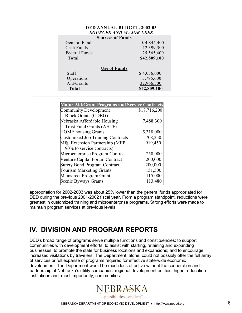| DED ANNUAL BUDGET, 2002-03 |                               |  |  |
|----------------------------|-------------------------------|--|--|
|                            | <b>SOURCES AND MAJOR USES</b> |  |  |
|                            | <b>Sources of Funds</b>       |  |  |
| General Fund               | \$4,844,400                   |  |  |
| Cash Funds                 | 12,399,300                    |  |  |
| Federal Funds              | 25,565,400                    |  |  |
| Total                      | \$42,809,100                  |  |  |
|                            | <b>Use of Funds</b>           |  |  |
| Staff                      | \$4,056,000                   |  |  |
| Operations                 | 5,786,600                     |  |  |
| Aid/Grants                 | 32,966,500                    |  |  |
| Total                      | \$42,809,100                  |  |  |
|                            |                               |  |  |

| <b>Major Aid/Grant Programs and Service Contracts</b> |              |
|-------------------------------------------------------|--------------|
| <b>Community Development</b>                          | \$17,716,200 |
| <b>Block Grants (CDBG)</b>                            |              |
| Nebraska Affordable Housing                           | 7,488,300    |
| <b>Trust Fund Grants (AHTF)</b>                       |              |
| <b>HOME</b> housing Grants                            | 5,318,000    |
| <b>Customized Job Training Contracts</b>              | 708,250      |
| Mfg. Extension Partnership (MEP,                      | 919,450      |
| 90% to service contracts)                             |              |
| Microenterprise Program Contract                      | 250,000      |
| Venture Capital Forum Contract                        | 200,000      |
| <b>Surety Bond Program Contract</b>                   | 200,000      |
| <b>Tourism Marketing Grants</b>                       | 151,500      |
| Mainstreet Program Grant                              | 115,000      |
| Scenic Byways Grants                                  | 113,480      |

appropriation for 2002-2003 was about 25% lower than the general funds appropriated for DED during the previous 2001-2002 fiscal year. From a program standpoint, reductions were greatest in customized training and microenterprise programs. Strong efforts were made to maintain program services at previous levels.

### **IV. DIVISION AND PROGRAM REPORTS**

DEDís broad range of programs serve multiple functions and constituencies: to support communities with development efforts; to assist with starting, retaining and expanding businesses; to promote the state for business locations and expansions; and to encourage increased visitations by travelers. The Department, alone, could not possibly offer the full array of services or full expanse of programs required for effective state-wide economic development. The Department would be much less effective without the cooperation and partnership of Nebraskaís utility companies, regional development entities, higher education institutions and, most importantly, communities.

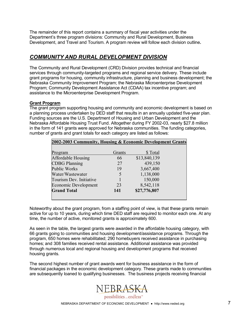The remainder of this report contains a summary of fiscal year activities under the Department's three program divisions: Community and Rural Development, Business Development, and Travel and Tourism. A program review will follow each division outline*.* 

### *COMMUNITY AND RURAL DEVELOPMENT DIVISION*

The Community and Rural Development (CRD) Division provides technical and financial services through community-targeted programs and regional service delivery. These include grant programs for housing, community infrastructure, planning and business development; the Nebraska Community Improvement Program; the Nebraska Microenterprise Development Program; Community Development Assistance Act (CDAA) tax incentive program; and assistance to the Microenterprise Development Program.

#### **Grant Program**

The grant program supporting housing and community and economic development is based on a planning process undertaken by DED staff that results in an annually updated five-year plan. Funding sources are the U.S. Department of Housing and Urban Development and the Nebraska Affordable Housing Trust Fund. Altogether during FY 2002-03, nearly \$27.8 million in the form of 141 grants were approved for Nebraska communities. The funding categories, number of grants and grant totals for each category are listed as follows:

| 2002-2003 Community, Housing & Economic Development Grants |        |              |  |  |
|------------------------------------------------------------|--------|--------------|--|--|
|                                                            |        |              |  |  |
| Program                                                    | Grants | \$Total      |  |  |
| Affordable Housing                                         | 66     | \$13,840,139 |  |  |
| <b>CDBG Planning</b>                                       | 27     | 439,150      |  |  |
| <b>Public Works</b>                                        | 19     | 3,667,400    |  |  |
| Water/Wastewater                                           | 5      | 1,138,000    |  |  |
| Tourism Dev. Initiative                                    |        | 150,000      |  |  |
| <b>Economic Development</b>                                | 23     | 8,542,118    |  |  |
| <b>Grand Total</b>                                         | 141    | \$27,776,807 |  |  |
|                                                            |        |              |  |  |

Noteworthy about the grant program, from a staffing point of view, is that these grants remain active for up to 10 years, during which time DED staff are required to monitor each one. At any time, the number of active, monitored grants is approximately 600.

As seen in the table, the largest grants were awarded in the affordable housing category, with 66 grants going to communities and housing development/assistance programs. Through the program, 650 homes were rehabilitated; 290 homebuyers received assistance in purchasing homes; and 308 families received rental assistance. Additional assistance was provided through numerous local and regional housing and development programs that received housing grants.

The second highest number of grant awards went for business assistance in the form of financial packages in the economic development category. These grants made to communities are subsequently loaned to qualifying businesses. The business projects receiving financial

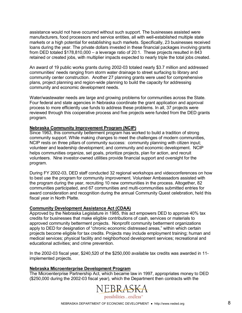assistance would not have occurred without such support. The businesses assisted were manufacturers, food processors and service entities, all with well-established multiple state markets or a high potential for establishing such markets. Specifically, 23 businesses received loans during the year. The private dollars invested in these financial packages involving grants from DED totaled  $$178,810,000 - a$  leverage ratio of 20:1. These projects resulted in 843 retained or created jobs, with multiplier impacts expected to nearly triple the total jobs created.

An award of 19 public works grants during 2002-03 totaled nearly \$3.7 million and addressed communities' needs ranging from storm water drainage to street surfacing to library and community center construction. Another 27 planning grants were used for comprehensive plans, project planning and region-wide planning to build the capacity for addressing community and economic development needs.

Water/wastewater needs are large and growing problems for communities across the State. Four federal and state agencies in Nebraska coordinate the grant application and approval process to more efficiently use funds to address these problems. In all, 37 projects were reviewed through this cooperative process and five projects were funded from the DED grants program.

#### **Nebraska Community Improvement Program (NCIP)**

Since 1963, this community betterment program has worked to build a tradition of strong community support. While making changes to meet the challenges of modern communities, NCIP rests on three pillars of community success: community planning with citizen input; volunteer and leadership development; and community and economic development. NCIP helps communities organize, set goals, prioritize projects, plan for action, and recruit volunteers. Nine investor-owned utilities provide financial support and oversight for the program.

During FY 2002-03, DED staff conducted 32 regional workshops and videoconferences on how to best use the program for community improvement. Volunteer Ambassadors assisted with the program during the year, recruiting 10 new communities in the process. Altogether, 82 communities participated, and 67 communities and multi-communities submitted entries for award consideration and recognition during the annual Community Quest celebration, held this fiscal year in North Platte.

#### **Community Development Assistance Act (CDAA)**

Approved by the Nebraska Legislature in 1985, this act empowers DED to approve 40% tax credits for businesses that make eligible contributions of cash, services or materials to approved community betterment projects. Nonprofit community betterment organizations apply to DED for designation of "chronic economic distressed areas," within which certain projects become eligible for tax credits. Projects may include employment training; human and medical services; physical facility and neighborhood development services; recreational and educational activities; and crime prevention.

In the 2002-03 fiscal year, \$240,520 of the \$250,000 available tax credits was awarded in 11 implemented projects.

#### **Nebraska Microenterprise Development Program**

The Microenterprise Partnership Act, which became law in 1997, appropriates money to DED (\$250,000 during the 2002-03 fiscal year), which the Department then contracts with the

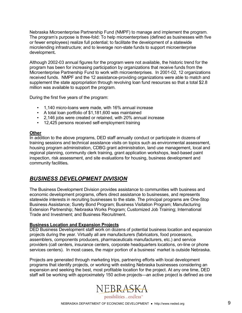Nebraska Microenterprise Partnership Fund (NMPF) to manage and implement the program. The programís purpose is three-fold: To help microenterprises (defined as businesses with five or fewer employees) realize full potential; to facilitate the development of a statewide microlending infrastructure; and to leverage non-state funds to support microenterprise development*.* 

Although 2002-03 annual figures for the program were not available, the historic trend for the program has been for increasing participation by organizations that receive funds from the Microenterprise Partnership Fund to work with microenterprises. In 2001-02, 12 organizations received funds. NMPF and the 12 assistance-providing organizations were able to match and supplement the state appropriation through revolving loan fund resources so that a total \$2.8 million was available to support the program.

During the first five years of the program:

- 1,140 micro-loans were made, with 16% annual increase
- A total loan portfolio of \$1,181,600 was maintained
- 2,146 jobs were created or retained, with 20% annual increase
- 12,425 persons received self-employment training

#### **Other**

In addition to the above programs, DED staff annually conduct or participate in dozens of training sessions and technical assistance visits on topics such as environmental assessment, housing program administration, CDBG grant administration, land use management, local and regional planning, community clerk training, grant application workshops, lead-based paint inspection, risk assessment, and site evaluations for housing, business development and community facilities*.* 

### *BUSINESS DEVELOPMENT DIVISION*

The Business Development Division provides assistance to communities with business and economic development programs, offers direct assistance to businesses, and represents statewide interests in recruiting businesses to the state. The principal programs are One-Stop Business Assistance; Surety Bond Program; Business Visitation Program; Manufacturing Extension Partnership; Nebraska Works Program; Customized Job Training; International Trade and Investment; and Business Recruitment.

#### **Business Location and Expansion Projects**

DED Business Development staff work on dozens of potential business location and expansion projects during the year. Virtually all are manufacturers (fabricators, food processors, assemblers, components producers, pharmaceuticals manufacturers, etc.) and service providers (call centers, insurance centers, corporate headquarters locations, on-line or phone services centers). In most cases, the major portion of a business' market is outside Nebraska.

Projects are generated through marketing trips, partnering efforts with local development programs that identify projects, or working with existing Nebraska businesses considering an expansion and seeking the best, most profitable location for the project. At any one time, DED staff will be working with approximately 150 active projects—an active project is defined as one

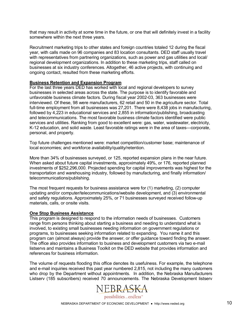that may result in activity at some time in the future, or one that will definitely invest in a facility somewhere within the next three years.

Recruitment marketing trips to other states and foreign countries totaled 12 during the fiscal year, with calls made on 96 companies and 83 location consultants. DED staff usually travel with representatives from partnering organizations, such as power and gas utilities and local/ regional development organizations. In addition to these marketing trips, staff called on businesses at six industry conferences. Altogether, 46 active projects, with continuing and ongoing contact, resulted from these marketing efforts.

#### **Business Retention and Expansion Program**

For the last three years DED has worked with local and regional developers to survey businesses in selected areas across the state. The purpose is to identify favorable and unfavorable business climate factors. During fiscal year 2002-03, 363 businesses were interviewed. Of these, 98 were manufacturers, 62 retail and 50 in the agriculture sector. Total full-time employment from all businesses was 27,201. There were 8,438 jobs in manufacturing, followed by 4,223 in educational services and 2,855 in information/publishing, broadcasting and telecommunications. The most favorable business climate factors identified were public services and utilities. Ranking from good to excellent were: gas, water, wastewater, electricity, K-12 education, and solid waste. Least favorable ratings were in the area of taxes—corporate, personal, and property.

Top future challenges mentioned were: market competition/customer base; maintenance of local economies; and workforce availability/quality/retention.

More than 34% of businesses surveyed, or 125, reported expansion plans in the near future. When asked about future capital investments, approximately 49%, or 176, reported planned investments of \$252,296,000. Projected spending for capital improvements was highest for the transportation and warehousing industry, followed by manufacturing, and finally information/ telecommunications/publishing.

The most frequent requests for business assistance were for (1) marketing, (2) computer updating and/or computer/telecommunications/website development, and (3) environmental and safety regulations. Approximately 25%, or 71 businesses surveyed received follow-up materials, calls, or onsite visits.

#### **One Stop Business Assistance**

This program is designed to respond to the information needs of businesses. Customers range from persons thinking about starting a business and needing to understand what is involved, to existing small businesses needing information on government regulations or programs, to businesses seeking information related to expanding. You name it and this program can (almost always) provide the answer, or offer guidance toward finding the answer. The office also provides information to business and development customers via two e-mail listservs and maintains a Business Toolkit on the DED website that provides information and references for business information.

The volume of requests flooding this office denotes its usefulness. For example, the telephone and e-mail inquiries received this past year numbered 2,815, not including the many customers who drop by the Department without appointments. In addition, the Nebraska Manufacturers Listserv (185 subscribers) received 70 announcements. The Nebraska Development listserv

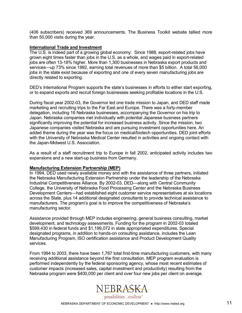(406 subscribers) received 369 announcements. The Business Toolkit website tallied more than 50,000 visits during the year.

#### **International Trade and Investment**

The U.S. is indeed part of a growing global economy: Since 1988, export-related jobs have grown eight times faster than jobs in the U.S. as a whole, and wages paid in export-related jobs are often 13-18% higher. More than 1,300 businesses in Nebraska export products and services—up 73% since 1992, earning total revenues of more than \$5 billion. A total 56,000 jobs in the state exist because of exporting and one of every seven manufacturing jobs are directly related to exporting.

DED's International Program supports the state's businesses in efforts to either start exporting, or to expand exports and recruit foreign businesses seeking profitable locations in the U.S.

During fiscal year 2002-03, the Governor led one trade mission to Japan, and DED staff made marketing and recruiting trips to the Far East and Europe. There was a forty-member delegation, including 16 Nebraska businesses, accompanying the Governor on his trip to Japan. Nebraska companies met individually with potential Japanese business partners significantly improving the potential for increased business activity. Since the mission, two Japanese companies visited Nebraska and are pursuing investment opportunities here. An added theme during the year was the focus on medical/biotech opportunities. DED joint efforts with the University of Nebraska Medical Center resulted in activities and ongoing contact with the Japan-Midwest U.S. Association.

As a result of a staff recruitment trip to Europe in fall 2002, anticipated activity includes two expansions and a new start-up business from Germany.

#### **Manufacturing Extension Partnership (MEP)**

In 1994, DED used newly available money and with the assistance of three partners, initiated the Nebraska Manufacturing Extension Partnership under the leadership of the Nebraska Industrial Competitiveness Alliance. By 2002-03, DED—along with Central Community College, the University of Nebraska Food Processing Center and the Nebraska Business Development Centers—had established eight customer service representatives at six locations across the State, plus 14 additional designated consultants to provide technical assistance to manufacturers. The program's goal is to improve the competitiveness of Nebraska's manufacturing sector.

Assistance provided through MEP includes engineering, general business consulting, market development, and technology assessments. Funding for the program in 2002-03 totaled \$599,430 in federal funds and \$1,199,072 in state appropriated expenditures. Special designated programs, in addition to hands-on consulting assistance, includes the Lean Manufacturing Program, ISO certification assistance and Product Development Quality services.

From 1994 to 2003, there have been 1,767 total first-time manufacturing customers, with many receiving additional assistance beyond the first consultation. MEP program evaluation is performed independently by the federal sponsoring agency, whose most recent estimates of customer impacts (increased sales, capital investment and productivity) resulting from the Nebraska program were \$400,000 per client and over four new jobs per client on average.

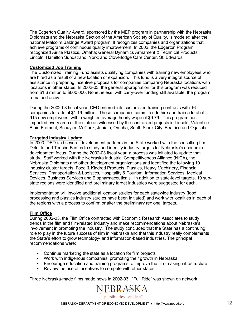The Edgerton Quality Award, sponsored by the MEP program in partnership with the Nebraska Diplomats and the Nebraska Section of the American Society of Quality, is modeled after the national Malcolm Baldrige Award program. It recognizes companies and organizations that achieve programs of continuous quality improvement. In 2002, the Edgerton Program recognized Airlite Plastics, Omaha; General Dynamics Armament & Technical Products, Lincoln; Hamilton Sundstrand, York; and Cloverlodge Care Center, St. Edwards.

#### **Customized Job Training**

The Customized Training Fund assists qualifying companies with training new employees who are hired as a result of a new location or expansion. This fund is a very integral source of assistance in preparing incentive proposals for companies comparing Nebraska locations with locations in other states. In 2002-03, the general appropriation for this program was reduced from \$1.6 million to \$600,000. Nonetheless, with carry-over funding still available, the program remained active.

During the 2002-03 fiscal year, DED entered into customized training contracts with 16 companies for a total \$1.19 million. These companies committed to hire and train a total of 915 new employees, with a weighted average hourly wage of \$9.79. This program has impacted every area of the state as witnessed by the contracted projects in Lincoln, Valentine, Blair, Fremont, Schuyler, McCook, Juniata, Omaha, South Sioux City, Beatrice and Ogallala.

#### **Targeted Industry Update**

In 2000, DED and several development partners in the State worked with the consulting firm Deloitte and Touche Fantus to study and identify industry targets for Nebraska's economic development focus. During the 2002-03 fiscal year, a process was initiated to update that study. Staff worked with the Nebraska Industrial Competitiveness Alliance (NICA), the Nebraska Diplomats and other development organizations and identified the following 10 industry cluster targets: Food & Kindred Products, Plastics, Heavy Machinery, Financial Services, Transportation & Logistics, Hospitality & Tourism, Information Services, Medical Devices, Business Services and Biopharmaceuticals. In addition to state-level targets, 10 substate regions were identified and preliminary target industries were suggested for each.

Implementation will involve additional location studies for each statewide industry (food processing and plastics industry studies have been initiated) and work with localities in each of the regions with a process to confirm or alter the preliminary regional targets.

#### **Film Office**

During 2002-03, the Film Office contracted with Economic Research Associates to study trends in the film and film-related industry and make recommendations about Nebraskaís involvement in promoting the industry. The study concluded that the State has a continuing role to play in the future success of film in Nebraska and that this industry really complements the Stateís effort to grow technology- and information-based industries. The principal recommendations were:

- Continue marketing the state as a location for film projects
- Work with indigenous companies, promoting their growth in Nebraska
- Encourage education and training programs to improve the film-making infrastructure
- Review the use of incentives to compete with other states

Three Nebraska-made films made news in 2002-03: "Full Ride" was shown on network

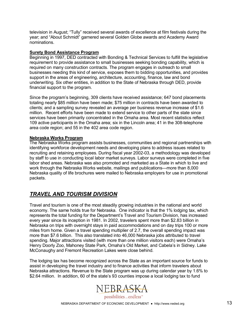television in August; "Tully" received several awards of excellence at film festivals during the year; and "About Schmidt" garnered several Golden Globe awards and Academy Award nominations.

#### **Surety Bond Assistance Program**

Beginning in 1997, DED contracted with Bonding & Technical Services to fulfill the legislative requirement to provide assistance to small businesses seeking bonding capability, which is required on many construction contracts. The program engages in outreach to small businesses needing this kind of service, exposes them to bidding opportunities, and provides support in the areas of engineering, architecture, accounting, finance, law and bond underwriting. Six other entities, in addition to the State of Nebraska through DED, provide financial support to the program.

Since the program's beginning, 309 clients have received assistance; 647 bond placements totaling nearly \$85 million have been made; \$75 million in contracts have been awarded to clients; and a sampling survey revealed an average per business revenue increase of \$1.6 million. Recent efforts have been made to extend service to other parts of the state since services have been primarily concentrated in the Omaha area. Most recent statistics reflect 109 active participants in the Omaha area; six in the Lincoln area; 41 in the 308-telephone area code region; and 55 in the 402 area code region.

#### **Nebraska Works Program**

The Nebraska Works program assists businesses, communities and regional partnerships with identifying workforce development needs and developing plans to address issues related to recruiting and retaining employees. During fiscal year 2002-03, a methodology was developed by staff to use in conducting local labor market surveys. Labor surveys were completed in five labor shed areas. Nebraska was also promoted and marketed as a State in which to live and work through the Nebraska Works website, mailings and publications—more than 8,000 Nebraska quality of life brochures were mailed to Nebraska employers for use in promotional packets.

### *TRAVEL AND TOURISM DIVISION*

Travel and tourism is one of the most steadily growing industries in the national and world economy. The same holds true for Nebraska. One indicator is that the 1% lodging tax, which represents the total funding for the Department's Travel and Tourism Division, has increased every year since its inception in 1981. In 2002, travelers spent more than \$2.83 billion in Nebraska on trips with overnight stays in paid accommodations and on day trips 100 or more miles from home. Given a travel spending multiplier of 2.7, the overall spending impact was more than \$7.6 billion. This also translated into 46,000 Nebraska jobs attributed to travel spending. Major attractions visited (with more than one million visitors each) were Omahaís Henry Doorly Zoo, Mahoney State Park, Omaha's Old Market, and Cabela's in Sidney. Lake McConaughy and Fremont Recreation Lakes were close behind.

The lodging tax has become recognized across the State as an important source for funds to assist in developing the travel industry and to finance activities that inform travelers about Nebraska attractions. Revenue to the State program was up during calendar year by 1.6% to \$2.64 million. In addition, 60 of the state's 93 counties impose a local lodging tax to fund

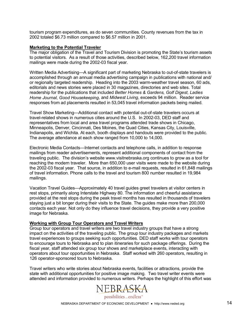tourism program expenditures, as do seven communities. County revenues from the tax in 2002 totaled \$6.73 million compared to \$6.57 million in 2001.

#### **Marketing to the Potential Traveler**

The major obligation of the Travel and Tourism Division is promoting the State's tourism assets to potential visitors. As a result of those activities, described below, 162,200 travel information mailings were made during the 2002-03 fiscal year.

Written Media Advertising—A significant part of marketing Nebraska to out-of-state travelers is accomplished through an annual media advertising campaign in publications with national and/ or regionally targeted readership. Heading into the 2003 warm-weather travel season, 60 ads, editorials and news stories were placed in 30 magazines, directories and web sites. Total readership for the publications that included *Better Homes & Gardens, Golf Digest, Ladies Home Journal, Good Housekeeping*, and *Midwest Living*, exceeds 94 million. Reader service responses from ad placements resulted in 53,045 travel information packets being mailed.

Travel Show Marketing—Additional contact with potential out-of-state travelers occurs at travel-related shows in numerous cities around the U.S. In 2002-03, DED staff and representatives from local and area travel programs attended trade shows in Chicago, Minneapolis, Denver, Cincinnati, Des Moines, the Quad Cities, Kansas City, Louisville, Indianapolis, and Wichita. At each, booth displays and handouts were provided to the public. The average attendance at each show ranged from 10,000 to 14,000.

Electronic Media Contacts—Internet contacts and telephone calls, in addition to response mailings from reader advertisements, represent additional components of contact from the traveling public. The divisionís website www.visitnebraska.org continues to grow as a tool for reaching the modern traveler. More than 650,000 user visits were made to the website during the 2002-03 fiscal year. That source, in addition to e-mail requests, resulted in 61,848 mailings of travel information. Phone calls to the travel and tourism 800 number resulted in 19,984 mailings.

Vacation Travel Guides–Approximately 40 travel guides greet travelers at visitor centers in rest stops, primarily along Interstate Highway 80. The information and cheerful assistance provided at the rest stops during the peak travel months has resulted in thousands of travelers staying just a bit longer during their visits to the State. The guides make more than 200,000 contacts each year. Not only do they influence travel decisions, they provide a very positive image for Nebraska.

#### **Working with Group Tour Operators and Travel Writers**

Group tour operators and travel writers are two travel industry groups that have a strong impact on the activities of the traveling public. The group tour industry packages and markets travel experiences to groups seeking such opportunities. DED staff works with tour operators to encourage tours to Nebraska and to plan itineraries for such package offerings. During the fiscal year, staff attended six group tour shows and marketplace events, interacting with operators about tour opportunities in Nebraska. Staff worked with 260 operators, resulting in 126 operator-sponsored tours to Nebraska.

Travel writers who write stories about Nebraska events, facilities or attractions, provide the state with additional opportunities for positive image making. Two travel writer events were attended and information provided to numerous writers. Perhaps the highlight of this effort was

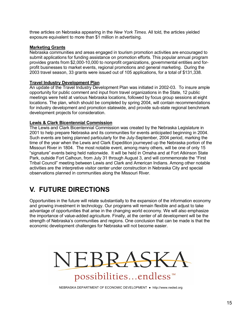three articles on Nebraska appearing in the *New York Times*. All told, the articles yielded exposure equivalent to more than \$1 million in advertising.

#### **Marketing Grants**

Nebraska communities and areas engaged in tourism promotion activities are encouraged to submit applications for funding assistance on promotion efforts. This popular annual program provides grants from \$2,000-10,000 to nonprofit organizations, governmental entities and forprofit businesses to market events, regional promotions and general marketing. During the 2003 travel season, 33 grants were issued out of 105 applications, for a total of \$131,338.

#### **Travel Industry Development Plan**

An update of the Travel Industry Development Plan was initiated in 2002-03. To insure ample opportunity for public comment and input from travel organizations in the State, 12 public meetings were held at various Nebraska locations, followed by focus group sessions at eight locations. The plan, which should be completed by spring 2004, will contain recommendations for industry development and promotion statewide, and provide sub-state regional benchmark development projects for consideration.

#### **Lewis & Clark Bicentennial Commission**

The Lewis and Clark Bicentennial Commission was created by the Nebraska Legislature in 2001 to help prepare Nebraska and its communities for events anticipated beginning in 2004. Such events are being planned particularly for the July-September, 2004 period, marking the time of the year when the Lewis and Clark Expedition journeyed up the Nebraska portion of the Missouri River in 1804. The most notable event, among many others, will be one of only 15 "signature" events being held nationwide. It will be held in Omaha and at Fort Atkinson State Park, outside Fort Calhoun, from July 31 through August 3, and will commemorate the "First Tribal Councilî meeting between Lewis and Clark and American Indians. Among other notable activities are the interpretive visitor center under construction in Nebraska City and special observations planned in communities along the Missouri River.

### **V. FUTURE DIRECTIONS**

Opportunities in the future will relate substantially to the expansion of the information economy and growing investment in technology. Our programs will remain flexible and adjust to take advantage of opportunities that arise in the changing world economy. We will also emphasize the importance of value-added agriculture. Finally, at the center of all development will be the strength of Nebraskaís communities and regions. One conclusion that can be made is that the economic development challenges for Nebraska will not become easier.



NEBRASKA DEPARTMENT OF ECONOMIC DEVELOPMENT ● http://www.neded.org